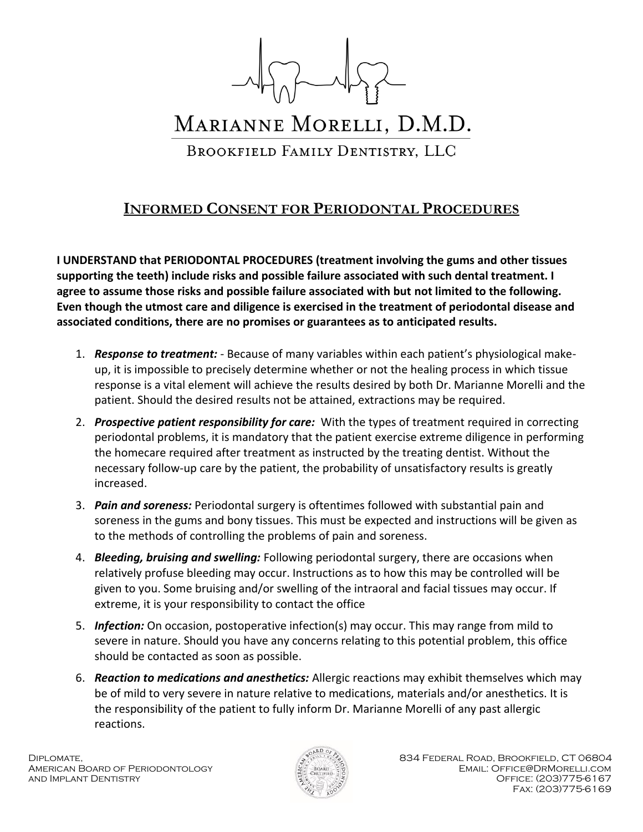

## MARIANNE MORELLI, D.M.D.

BROOKFIELD FAMILY DENTISTRY, LLC

## **INFORMED CONSENT FOR PERIODONTAL PROCEDURES**

**I UNDERSTAND that PERIODONTAL PROCEDURES (treatment involving the gums and other tissues supporting the teeth) include risks and possible failure associated with such dental treatment. I agree to assume those risks and possible failure associated with but not limited to the following. Even though the utmost care and diligence is exercised in the treatment of periodontal disease and associated conditions, there are no promises or guarantees as to anticipated results.**

- 1. *Response to treatment: -* Because of many variables within each patient's physiological makeup, it is impossible to precisely determine whether or not the healing process in which tissue response is a vital element will achieve the results desired by both Dr. Marianne Morelli and the patient. Should the desired results not be attained, extractions may be required.
- 2. *Prospective patient responsibility for care:* With the types of treatment required in correcting periodontal problems, it is mandatory that the patient exercise extreme diligence in performing the homecare required after treatment as instructed by the treating dentist. Without the necessary follow-up care by the patient, the probability of unsatisfactory results is greatly increased.
- 3. *Pain and soreness:* Periodontal surgery is oftentimes followed with substantial pain and soreness in the gums and bony tissues. This must be expected and instructions will be given as to the methods of controlling the problems of pain and soreness.
- 4. *Bleeding, bruising and swelling:* Following periodontal surgery, there are occasions when relatively profuse bleeding may occur. Instructions as to how this may be controlled will be given to you. Some bruising and/or swelling of the intraoral and facial tissues may occur. If extreme, it is your responsibility to contact the office
- 5. *Infection:* On occasion, postoperative infection(s) may occur. This may range from mild to severe in nature. Should you have any concerns relating to this potential problem, this office should be contacted as soon as possible.
- 6. *Reaction to medications and anesthetics:* Allergic reactions may exhibit themselves which may be of mild to very severe in nature relative to medications, materials and/or anesthetics. It is the responsibility of the patient to fully inform Dr. Marianne Morelli of any past allergic reactions.